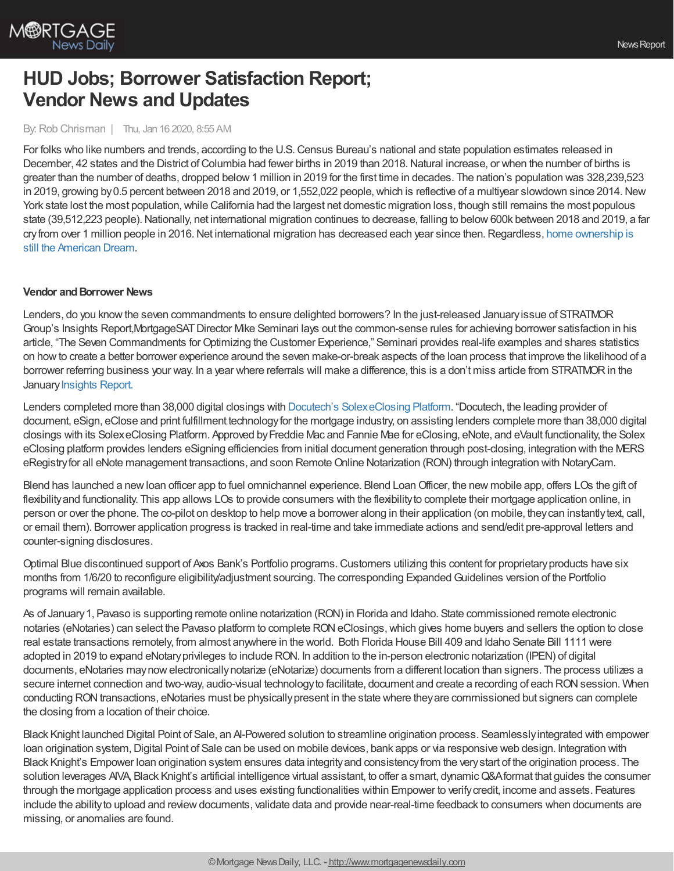

## **HUD Jobs; Borrower Satisfaction Report; Vendor News and Updates**

By:Rob Chrisman | Thu, Jan 16 2020, 8:55 AM

For folks who like numbers and trends, according to the U.S.Census Bureau's national and state population estimates released in December, 42 states and the District of Columbia had fewer births in 2019 than 2018. Natural increase, or when the number of births is greater than the number of deaths, dropped below1 million in 2019 for the first time in decades. The nation's population was 328,239,523 in 2019, growing by 0.5 percent between 2018 and 2019, or 1,552,022 people, which is reflective of a multiyear slowdown since 2014. New York state lost the most population, while California had the largest net domestic migration loss, though still remains the most populous state (39,512,223 people). Nationally, net international migration continues to decrease, falling to below 600k between 2018 and 2019, a far cry from over 1 million people in 2016. Net international migration has decreased each year since then. Regardless, home ownership is still the American Dream.

## **Vendor and Borrower News**

Lenders, do you knowthe seven commandments to ensure delighted borrowers? In the just-released Januaryissue of STRATMOR Group's Insights Report,MortgageSATDirector Mike Seminari lays out the common-sense rules for achieving borrower satisfaction in his article, "The Seven Commandments forOptimizing the Customer Experience," Seminari provides real-life examples and shares statistics on howto create a better borrower experience around the seven make-or-break aspects of the loan process that improve the likelihood of a borrower referring business your way. In a year where referrals will make a difference, this is a don't miss article from STRATMORin the January [Insights](https://www.stratmorgroup.com/insights/) Report.

Lenders completed more than 38,000 digital closings with Docutech's [SolexeClosing](https://docutech.com/company/in-the-news/recent-announcements/lenders-complete-more-than-38000-digital-closings-with-docutechs-solex-eclosing-platform/) Platform. "Docutech, the leading provider of document, eSign, eClose and print fulfillment technologyfor the mortgage industry, on assisting lenders complete more than 38,000 digital closings with its SolexeClosing Platform. Approved byFreddie Mac and Fannie Mae for eClosing, eNote, and eVault functionality, the Solex eClosing platform provides lenders eSigning efficiencies from initial document generation through post-closing, integration with the MERS eRegistryfor all eNote management transactions, and soon RemoteOnline Notarization (RON) through integration with NotaryCam.

Blend has launched a newloan officer app to fuel omnichannel experience. Blend LoanOfficer, the new mobile app, offers LOs the gift of flexibility and functionality. This app allows LOs to provide consumers with the flexibility to complete their mortgage application online, in person or over the phone. The co-pilot on desktop to help move a borrower along in their application (on mobile, theycan instantlytext, call, or email them). Borrower application progress is tracked in real-time and take immediate actions and send/edit pre-approval letters and counter-signing disclosures.

Optimal Blue discontinued support of Axos Bank's Portfolio programs.Customers utilizing this content for proprietaryproducts have six months from 1/6/20 to reconfigure eligibility/adjustment sourcing. The corresponding Expanded Guidelines version of the Portfolio programs will remain available.

As of January1, Pavaso is supporting remote online notarization (RON) in Florida and Idaho. State commissioned remote electronic notaries (eNotaries) can select the Pavaso platform to complete RON eClosings, which gives home buyers and sellers the option to close real estate transactions remotely, from almost anywhere in the world. Both Florida House Bill 409 and Idaho Senate Bill 1111 were adopted in 2019 to expand eNotaryprivileges to include RON. In addition to the in-person electronic notarization (IPEN) of digital documents, eNotaries maynowelectronicallynotarize (eNotarize) documents from a different location than signers. The process utilizes a secure internet connection and two-way, audio-visual technologyto facilitate, document and create a recording of each RONsession. When conducting RON transactions, eNotaries must be physically present in the state where they are commissioned but signers can complete the closing from a location of their choice.

Black Knight launched Digital Point of Sale, an A-Powered solution to streamline origination process. Seamlessly integrated with empower loan origination system,Digital Point of Sale can be used on mobile devices, bank apps or via responsive web design. Integration with Black Knight's Empower loan origination system ensures data integrityand consistencyfrom the verystart of the origination process. The solution leverages AVA, Black Knight's artificial intelligence virtual assistant, to offer a smart, dynamic Q&A format that guides the consumer through the mortgage application process and uses existing functionalities within Empower to verifycredit, income and assets. Features include the ability to upload and review documents, validate data and provide near-real-time feedback to consumers when documents are missing, or anomalies are found.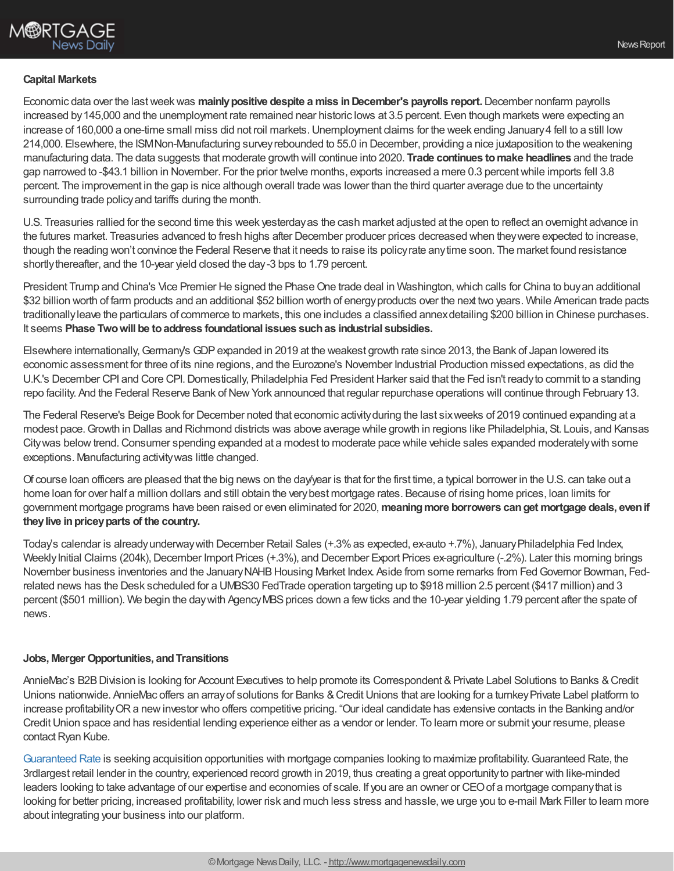## **Capital Markets**

Economic data over the lastweekwas **mainlypositive despite a miss inDecember's payrolls report.**December nonfarm payrolls increased by 145,000 and the unemployment rate remained near historic lows at 3.5 percent. Even though markets were expecting an increase of 160,000 a one-time small miss did not roil markets. Unemployment claims for the week ending January 4 fell to a still low 214,000. Elsewhere, the ISMNon-Manufacturing surveyrebounded to 55.0 in December, providing a nice juxtaposition to the weakening manufacturing data. The data suggests that moderate growth will continue into 2020. **Trade continues tomake headlines** and the trade gap narrowed to -\$43.1 billion in November. For the prior twelve months, exports increased a mere 0.3 percentwhile imports fell 3.8 percent. The improvement in the gap is nice although overall trade was lower than the third quarter average due to the uncertainty surrounding trade policyand tariffs during the month.

U.S. Treasuries rallied for the second time this week yesterdayas the cash market adjusted at the open to reflect an overnight advance in the futures market. Treasuries advanced to fresh highs after December producer prices decreased when theywere expected to increase, though the reading won't convince the Federal Reserve that it needs to raise its policyrate anytime soon. The market found resistance shortlythereafter, and the 10-year yield closed the day-3 bps to 1.79 percent.

President Trump and China's Vice Premier He signed the Phase One trade deal in Washington, which calls for China to buyan additional \$32 billion worth of farm products and an additional \$52 billion worth of energyproducts over the next two years. While American trade pacts traditionallyleave the particulars of commerce to markets, this one includes a classified annexdetailing \$200 billion in Chinese purchases. It seems **Phase Twowill be toaddress foundational issues suchas industrial subsidies.**

Elsewhere internationally, Germany's GDP expanded in 2019 at the weakest growth rate since 2013, the Bank of Japan lowered its economic assessment for three of its nine regions, and the Eurozone's November Industrial Production missed expectations, as did the U.K.'s December CPI and Core CPI. Domestically, Philadelphia Fed President Harker said that the Fed isn't ready to commit to a standing repo facility. And the Federal Reserve Bank of New York announced that regular repurchase operations will continue through February 13.

The Federal Reserve's Beige Book for December noted that economic activityduring the last sixweeks of 2019 continued expanding at a modest pace.Growth in Dallas and Richmond districts was above average while growth in regions like Philadelphia, St. Louis, and Kansas Citywas below trend. Consumer spending expanded at a modest to moderate pace while vehicle sales expanded moderately with some exceptions. Manufacturing activitywas little changed.

Of course loan officers are pleased that the big news on the day/year is that for the first time, a typical borrower in the U.S. can take out a home loan for over half a million dollars and still obtain the verybest mortgage rates. Because of rising home prices, loan limits for government mortgage programs have been raised or even eliminated for 2020,**meaningmore borrowers canget mortgage deals, evenif theylive inpriceyparts of the country.**

Today's calendar is already underway with December Retail Sales (+.3% as expected, ex-auto +.7%), January Philadelphia Fed Index, Weekly Initial Claims (204k), December Import Prices (+.3%), and December Export Prices ex-agriculture (-.2%). Later this morning brings November business inventories and the January NAHB Housing Market Index. Aside from some remarks from Fed Governor Bowman, Fedrelated news has the Desk scheduled for a UMBS30 FedTrade operation targeting up to \$918 million 2.5 percent (\$417 million) and 3 percent (\$501 million). We begin the day with Agency MBS prices down a few ticks and the 10-year yielding 1.79 percent after the spate of news.

## **Jobs, Merger Opportunities, andTransitions**

AnnieMac's B2B Division is looking for Account Executives to help promote its Correspondent & Private Label Solutions to Banks & Credit Unions nationwide. AnnieMac offers an array of solutions for Banks & Credit Unions that are looking for a turnkey Private Label platform to increase profitabilityORa newinvestor who offers competitive pricing. "Our ideal candidate has extensive contacts in the Banking and/or CreditUnion space and has residential lending experience either as a vendor or lender. To learn more or submit your resume, please contact Ryan Kube.

[Guaranteed](https://bit.ly/2NOvbP4) Rate is seeking acquisition opportunities with mortgage companies looking to maximize profitability.Guaranteed Rate, the 3rdlargest retail lender in the country, experienced record growth in 2019, thus creating a great opportunityto partner with like-minded leaders looking to take advantage of our expertise and economies of scale. If you are an owner or CEOof a mortgage companythat is looking for better pricing, increased profitability, lower risk and much less stress and hassle, we urge you to e-mail Mark Filler to learn more about integrating your business into our platform.